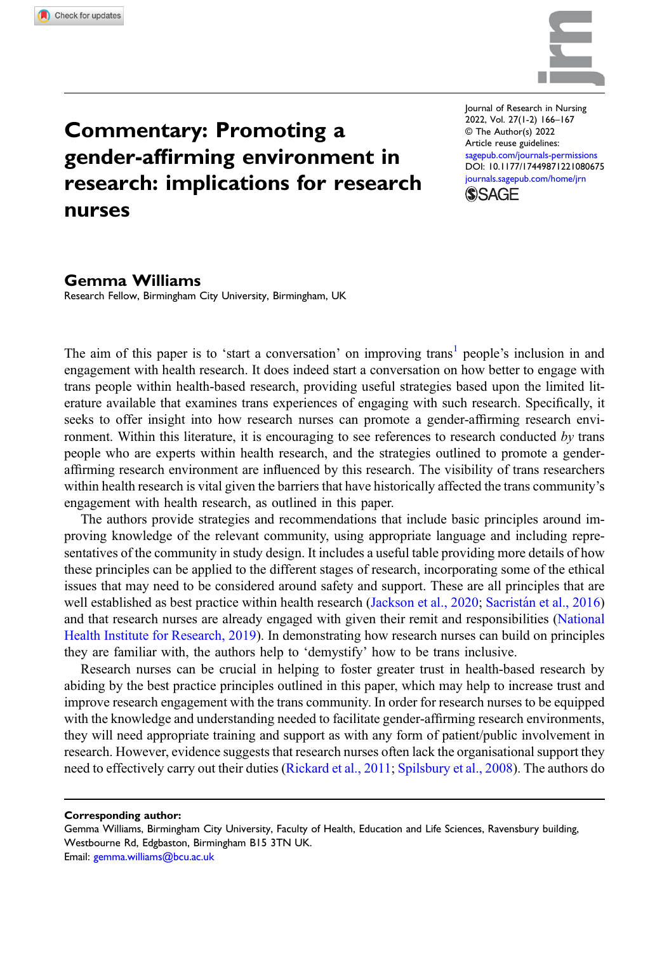

## Commentary: Promoting a gender-affirming environment in research: implications for research nurses

Journal of Research in Nursing 2022, Vol. 27(1-2) 166–167 © The Author(s) 2022 Article reuse guidelines: [sagepub.com/journals-permissions](https://uk.sagepub.com/en-gb/journals-permissions) DOI: [10.1177/17449871221080675](https://doi.org/10.1177/17449871221080675) [journals.sagepub.com/home/jrn](https://journals.sagepub.com/home/jrn) **SSAGE** 

## Gemma Williams

Research Fellow, Birmingham City University, Birmingham, UK

The aim of this paper is to 'start a conversation' on improving trans<sup>[1](#page-1-0)</sup> people's inclusion in and engagement with health research. It does indeed start a conversation on how better to engage with trans people within health-based research, providing useful strategies based upon the limited literature available that examines trans experiences of engaging with such research. Specifically, it seeks to offer insight into how research nurses can promote a gender-affirming research environment. Within this literature, it is encouraging to see references to research conducted  $by$  trans people who are experts within health research, and the strategies outlined to promote a genderaffirming research environment are influenced by this research. The visibility of trans researchers within health research is vital given the barriers that have historically affected the trans community's engagement with health research, as outlined in this paper.

The authors provide strategies and recommendations that include basic principles around improving knowledge of the relevant community, using appropriate language and including representatives of the community in study design. It includes a useful table providing more details of how these principles can be applied to the different stages of research, incorporating some of the ethical issues that may need to be considered around safety and support. These are all principles that are well established as best practice within health research [\(Jackson et al., 2020;](#page-1-1) Sacristán et al., 2016) and that research nurses are already engaged with given their remit and responsibilities ([National](#page-1-3) [Health Institute for Research, 2019\)](#page-1-3). In demonstrating how research nurses can build on principles they are familiar with, the authors help to 'demystify' how to be trans inclusive.

Research nurses can be crucial in helping to foster greater trust in health-based research by abiding by the best practice principles outlined in this paper, which may help to increase trust and improve research engagement with the trans community. In order for research nurses to be equipped with the knowledge and understanding needed to facilitate gender-affirming research environments, they will need appropriate training and support as with any form of patient/public involvement in research. However, evidence suggests that research nurses often lack the organisational support they need to effectively carry out their duties ([Rickard et al., 2011;](#page-1-4) [Spilsbury et al., 2008\)](#page-1-5). The authors do

Corresponding author:

Gemma Williams, Birmingham City University, Faculty of Health, Education and Life Sciences, Ravensbury building, Westbourne Rd, Edgbaston, Birmingham B15 3TN UK. Email: [gemma.williams@bcu.ac.uk](mailto:gemma.williams@bcu.ac.uk)